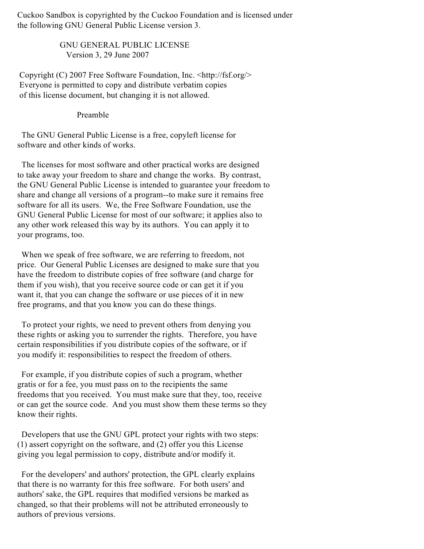Cuckoo Sandbox is copyrighted by the Cuckoo Foundation and is licensed under the following GNU General Public License version 3.

## GNU GENERAL PUBLIC LICENSE Version 3, 29 June 2007

Copyright (C) 2007 Free Software Foundation, Inc. <http://fsf.org/> Everyone is permitted to copy and distribute verbatim copies of this license document, but changing it is not allowed.

Preamble

The GNU General Public License is a free, copyleft license for software and other kinds of works.

The licenses for most software and other practical works are designed to take away your freedom to share and change the works. By contrast, the GNU General Public License is intended to guarantee your freedom to share and change all versions of a program--to make sure it remains free software for all its users. We, the Free Software Foundation, use the GNU General Public License for most of our software; it applies also to any other work released this way by its authors. You can apply it to your programs, too.

When we speak of free software, we are referring to freedom, not price. Our General Public Licenses are designed to make sure that you have the freedom to distribute copies of free software (and charge for them if you wish), that you receive source code or can get it if you want it, that you can change the software or use pieces of it in new free programs, and that you know you can do these things.

To protect your rights, we need to prevent others from denying you these rights or asking you to surrender the rights. Therefore, you have certain responsibilities if you distribute copies of the software, or if you modify it: responsibilities to respect the freedom of others.

For example, if you distribute copies of such a program, whether gratis or for a fee, you must pass on to the recipients the same freedoms that you received. You must make sure that they, too, receive or can get the source code. And you must show them these terms so they know their rights.

Developers that use the GNU GPL protect your rights with two steps: (1) assert copyright on the software, and (2) offer you this License giving you legal permission to copy, distribute and/or modify it.

For the developers' and authors' protection, the GPL clearly explains that there is no warranty for this free software. For both users' and authors' sake, the GPL requires that modified versions be marked as changed, so that their problems will not be attributed erroneously to authors of previous versions.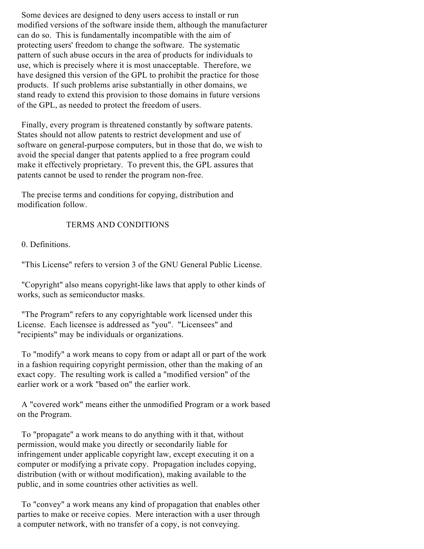Some devices are designed to deny users access to install or run modified versions of the software inside them, although the manufacturer can do so. This is fundamentally incompatible with the aim of protecting users' freedom to change the software. The systematic pattern of such abuse occurs in the area of products for individuals to use, which is precisely where it is most unacceptable. Therefore, we have designed this version of the GPL to prohibit the practice for those products. If such problems arise substantially in other domains, we stand ready to extend this provision to those domains in future versions of the GPL, as needed to protect the freedom of users.

Finally, every program is threatened constantly by software patents. States should not allow patents to restrict development and use of software on general-purpose computers, but in those that do, we wish to avoid the special danger that patents applied to a free program could make it effectively proprietary. To prevent this, the GPL assures that patents cannot be used to render the program non-free.

The precise terms and conditions for copying, distribution and modification follow.

# TERMS AND CONDITIONS

0. Definitions.

"This License" refers to version 3 of the GNU General Public License.

"Copyright" also means copyright-like laws that apply to other kinds of works, such as semiconductor masks.

"The Program" refers to any copyrightable work licensed under this License. Each licensee is addressed as "you". "Licensees" and "recipients" may be individuals or organizations.

To "modify" a work means to copy from or adapt all or part of the work in a fashion requiring copyright permission, other than the making of an exact copy. The resulting work is called a "modified version" of the earlier work or a work "based on" the earlier work.

A "covered work" means either the unmodified Program or a work based on the Program.

To "propagate" a work means to do anything with it that, without permission, would make you directly or secondarily liable for infringement under applicable copyright law, except executing it on a computer or modifying a private copy. Propagation includes copying, distribution (with or without modification), making available to the public, and in some countries other activities as well.

To "convey" a work means any kind of propagation that enables other parties to make or receive copies. Mere interaction with a user through a computer network, with no transfer of a copy, is not conveying.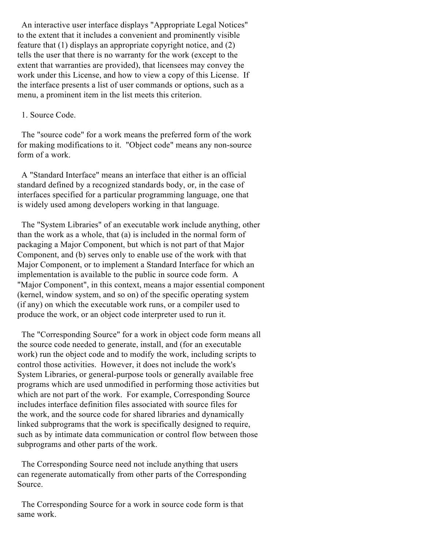An interactive user interface displays "Appropriate Legal Notices" to the extent that it includes a convenient and prominently visible feature that (1) displays an appropriate copyright notice, and (2) tells the user that there is no warranty for the work (except to the extent that warranties are provided), that licensees may convey the work under this License, and how to view a copy of this License. If the interface presents a list of user commands or options, such as a menu, a prominent item in the list meets this criterion.

### 1. Source Code.

The "source code" for a work means the preferred form of the work for making modifications to it. "Object code" means any non-source form of a work.

A "Standard Interface" means an interface that either is an official standard defined by a recognized standards body, or, in the case of interfaces specified for a particular programming language, one that is widely used among developers working in that language.

The "System Libraries" of an executable work include anything, other than the work as a whole, that (a) is included in the normal form of packaging a Major Component, but which is not part of that Major Component, and (b) serves only to enable use of the work with that Major Component, or to implement a Standard Interface for which an implementation is available to the public in source code form. A "Major Component", in this context, means a major essential component (kernel, window system, and so on) of the specific operating system (if any) on which the executable work runs, or a compiler used to produce the work, or an object code interpreter used to run it.

The "Corresponding Source" for a work in object code form means all the source code needed to generate, install, and (for an executable work) run the object code and to modify the work, including scripts to control those activities. However, it does not include the work's System Libraries, or general-purpose tools or generally available free programs which are used unmodified in performing those activities but which are not part of the work. For example, Corresponding Source includes interface definition files associated with source files for the work, and the source code for shared libraries and dynamically linked subprograms that the work is specifically designed to require, such as by intimate data communication or control flow between those subprograms and other parts of the work.

The Corresponding Source need not include anything that users can regenerate automatically from other parts of the Corresponding Source.

The Corresponding Source for a work in source code form is that same work.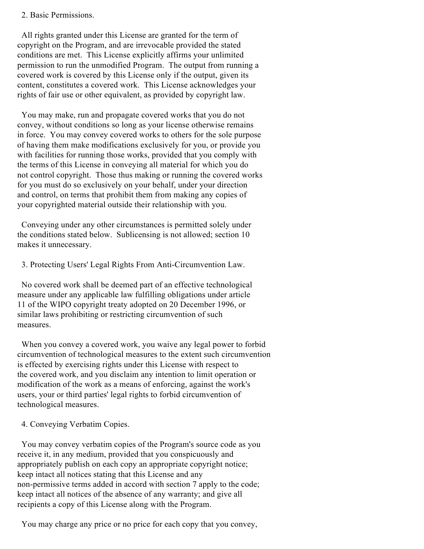### 2. Basic Permissions.

All rights granted under this License are granted for the term of copyright on the Program, and are irrevocable provided the stated conditions are met. This License explicitly affirms your unlimited permission to run the unmodified Program. The output from running a covered work is covered by this License only if the output, given its content, constitutes a covered work. This License acknowledges your rights of fair use or other equivalent, as provided by copyright law.

You may make, run and propagate covered works that you do not convey, without conditions so long as your license otherwise remains in force. You may convey covered works to others for the sole purpose of having them make modifications exclusively for you, or provide you with facilities for running those works, provided that you comply with the terms of this License in conveying all material for which you do not control copyright. Those thus making or running the covered works for you must do so exclusively on your behalf, under your direction and control, on terms that prohibit them from making any copies of your copyrighted material outside their relationship with you.

Conveying under any other circumstances is permitted solely under the conditions stated below. Sublicensing is not allowed; section 10 makes it unnecessary.

3. Protecting Users' Legal Rights From Anti-Circumvention Law.

No covered work shall be deemed part of an effective technological measure under any applicable law fulfilling obligations under article 11 of the WIPO copyright treaty adopted on 20 December 1996, or similar laws prohibiting or restricting circumvention of such measures.

When you convey a covered work, you waive any legal power to forbid circumvention of technological measures to the extent such circumvention is effected by exercising rights under this License with respect to the covered work, and you disclaim any intention to limit operation or modification of the work as a means of enforcing, against the work's users, your or third parties' legal rights to forbid circumvention of technological measures.

4. Conveying Verbatim Copies.

You may convey verbatim copies of the Program's source code as you receive it, in any medium, provided that you conspicuously and appropriately publish on each copy an appropriate copyright notice; keep intact all notices stating that this License and any non-permissive terms added in accord with section 7 apply to the code; keep intact all notices of the absence of any warranty; and give all recipients a copy of this License along with the Program.

You may charge any price or no price for each copy that you convey,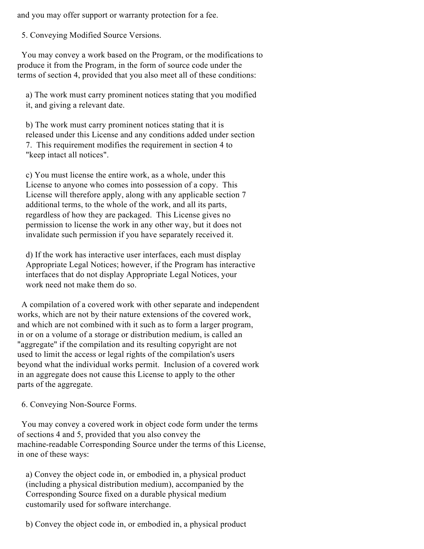and you may offer support or warranty protection for a fee.

5. Conveying Modified Source Versions.

You may convey a work based on the Program, or the modifications to produce it from the Program, in the form of source code under the terms of section 4, provided that you also meet all of these conditions:

a) The work must carry prominent notices stating that you modified it, and giving a relevant date.

b) The work must carry prominent notices stating that it is released under this License and any conditions added under section 7. This requirement modifies the requirement in section 4 to "keep intact all notices".

c) You must license the entire work, as a whole, under this License to anyone who comes into possession of a copy. This License will therefore apply, along with any applicable section 7 additional terms, to the whole of the work, and all its parts, regardless of how they are packaged. This License gives no permission to license the work in any other way, but it does not invalidate such permission if you have separately received it.

d) If the work has interactive user interfaces, each must display Appropriate Legal Notices; however, if the Program has interactive interfaces that do not display Appropriate Legal Notices, your work need not make them do so.

A compilation of a covered work with other separate and independent works, which are not by their nature extensions of the covered work, and which are not combined with it such as to form a larger program, in or on a volume of a storage or distribution medium, is called an "aggregate" if the compilation and its resulting copyright are not used to limit the access or legal rights of the compilation's users beyond what the individual works permit. Inclusion of a covered work in an aggregate does not cause this License to apply to the other parts of the aggregate.

6. Conveying Non-Source Forms.

You may convey a covered work in object code form under the terms of sections 4 and 5, provided that you also convey the machine-readable Corresponding Source under the terms of this License, in one of these ways:

a) Convey the object code in, or embodied in, a physical product (including a physical distribution medium), accompanied by the Corresponding Source fixed on a durable physical medium customarily used for software interchange.

b) Convey the object code in, or embodied in, a physical product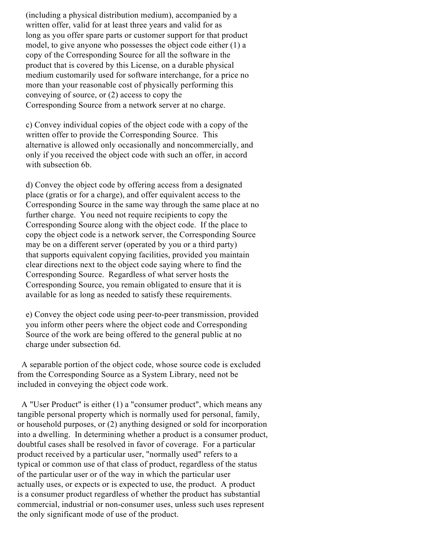(including a physical distribution medium), accompanied by a written offer, valid for at least three years and valid for as long as you offer spare parts or customer support for that product model, to give anyone who possesses the object code either (1) a copy of the Corresponding Source for all the software in the product that is covered by this License, on a durable physical medium customarily used for software interchange, for a price no more than your reasonable cost of physically performing this conveying of source, or (2) access to copy the Corresponding Source from a network server at no charge.

c) Convey individual copies of the object code with a copy of the written offer to provide the Corresponding Source. This alternative is allowed only occasionally and noncommercially, and only if you received the object code with such an offer, in accord with subsection 6b.

d) Convey the object code by offering access from a designated place (gratis or for a charge), and offer equivalent access to the Corresponding Source in the same way through the same place at no further charge. You need not require recipients to copy the Corresponding Source along with the object code. If the place to copy the object code is a network server, the Corresponding Source may be on a different server (operated by you or a third party) that supports equivalent copying facilities, provided you maintain clear directions next to the object code saying where to find the Corresponding Source. Regardless of what server hosts the Corresponding Source, you remain obligated to ensure that it is available for as long as needed to satisfy these requirements.

e) Convey the object code using peer-to-peer transmission, provided you inform other peers where the object code and Corresponding Source of the work are being offered to the general public at no charge under subsection 6d.

A separable portion of the object code, whose source code is excluded from the Corresponding Source as a System Library, need not be included in conveying the object code work.

A "User Product" is either (1) a "consumer product", which means any tangible personal property which is normally used for personal, family, or household purposes, or (2) anything designed or sold for incorporation into a dwelling. In determining whether a product is a consumer product, doubtful cases shall be resolved in favor of coverage. For a particular product received by a particular user, "normally used" refers to a typical or common use of that class of product, regardless of the status of the particular user or of the way in which the particular user actually uses, or expects or is expected to use, the product. A product is a consumer product regardless of whether the product has substantial commercial, industrial or non-consumer uses, unless such uses represent the only significant mode of use of the product.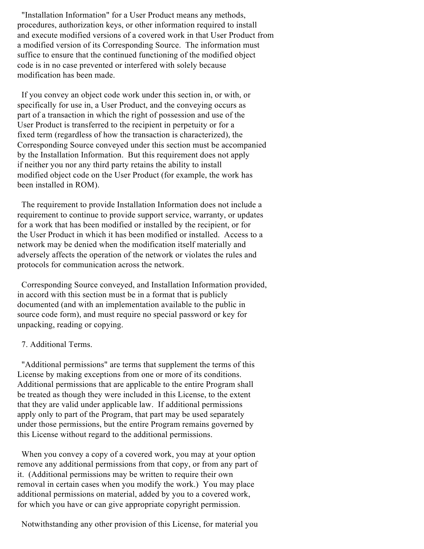"Installation Information" for a User Product means any methods, procedures, authorization keys, or other information required to install and execute modified versions of a covered work in that User Product from a modified version of its Corresponding Source. The information must suffice to ensure that the continued functioning of the modified object code is in no case prevented or interfered with solely because modification has been made.

If you convey an object code work under this section in, or with, or specifically for use in, a User Product, and the conveying occurs as part of a transaction in which the right of possession and use of the User Product is transferred to the recipient in perpetuity or for a fixed term (regardless of how the transaction is characterized), the Corresponding Source conveyed under this section must be accompanied by the Installation Information. But this requirement does not apply if neither you nor any third party retains the ability to install modified object code on the User Product (for example, the work has been installed in ROM).

The requirement to provide Installation Information does not include a requirement to continue to provide support service, warranty, or updates for a work that has been modified or installed by the recipient, or for the User Product in which it has been modified or installed. Access to a network may be denied when the modification itself materially and adversely affects the operation of the network or violates the rules and protocols for communication across the network.

Corresponding Source conveyed, and Installation Information provided, in accord with this section must be in a format that is publicly documented (and with an implementation available to the public in source code form), and must require no special password or key for unpacking, reading or copying.

#### 7. Additional Terms.

"Additional permissions" are terms that supplement the terms of this License by making exceptions from one or more of its conditions. Additional permissions that are applicable to the entire Program shall be treated as though they were included in this License, to the extent that they are valid under applicable law. If additional permissions apply only to part of the Program, that part may be used separately under those permissions, but the entire Program remains governed by this License without regard to the additional permissions.

When you convey a copy of a covered work, you may at your option remove any additional permissions from that copy, or from any part of it. (Additional permissions may be written to require their own removal in certain cases when you modify the work.) You may place additional permissions on material, added by you to a covered work, for which you have or can give appropriate copyright permission.

Notwithstanding any other provision of this License, for material you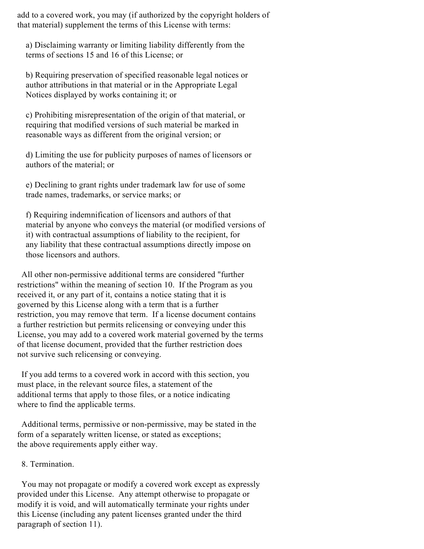add to a covered work, you may (if authorized by the copyright holders of that material) supplement the terms of this License with terms:

a) Disclaiming warranty or limiting liability differently from the terms of sections 15 and 16 of this License; or

b) Requiring preservation of specified reasonable legal notices or author attributions in that material or in the Appropriate Legal Notices displayed by works containing it; or

c) Prohibiting misrepresentation of the origin of that material, or requiring that modified versions of such material be marked in reasonable ways as different from the original version; or

d) Limiting the use for publicity purposes of names of licensors or authors of the material; or

e) Declining to grant rights under trademark law for use of some trade names, trademarks, or service marks; or

f) Requiring indemnification of licensors and authors of that material by anyone who conveys the material (or modified versions of it) with contractual assumptions of liability to the recipient, for any liability that these contractual assumptions directly impose on those licensors and authors.

All other non-permissive additional terms are considered "further restrictions" within the meaning of section 10. If the Program as you received it, or any part of it, contains a notice stating that it is governed by this License along with a term that is a further restriction, you may remove that term. If a license document contains a further restriction but permits relicensing or conveying under this License, you may add to a covered work material governed by the terms of that license document, provided that the further restriction does not survive such relicensing or conveying.

If you add terms to a covered work in accord with this section, you must place, in the relevant source files, a statement of the additional terms that apply to those files, or a notice indicating where to find the applicable terms.

Additional terms, permissive or non-permissive, may be stated in the form of a separately written license, or stated as exceptions; the above requirements apply either way.

### 8. Termination.

You may not propagate or modify a covered work except as expressly provided under this License. Any attempt otherwise to propagate or modify it is void, and will automatically terminate your rights under this License (including any patent licenses granted under the third paragraph of section 11).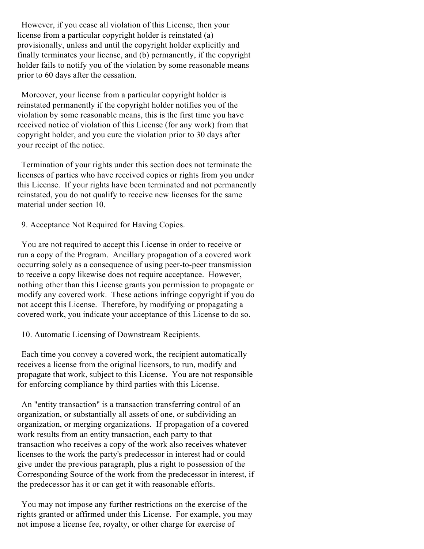However, if you cease all violation of this License, then your license from a particular copyright holder is reinstated (a) provisionally, unless and until the copyright holder explicitly and finally terminates your license, and (b) permanently, if the copyright holder fails to notify you of the violation by some reasonable means prior to 60 days after the cessation.

Moreover, your license from a particular copyright holder is reinstated permanently if the copyright holder notifies you of the violation by some reasonable means, this is the first time you have received notice of violation of this License (for any work) from that copyright holder, and you cure the violation prior to 30 days after your receipt of the notice.

Termination of your rights under this section does not terminate the licenses of parties who have received copies or rights from you under this License. If your rights have been terminated and not permanently reinstated, you do not qualify to receive new licenses for the same material under section 10.

9. Acceptance Not Required for Having Copies.

You are not required to accept this License in order to receive or run a copy of the Program. Ancillary propagation of a covered work occurring solely as a consequence of using peer-to-peer transmission to receive a copy likewise does not require acceptance. However, nothing other than this License grants you permission to propagate or modify any covered work. These actions infringe copyright if you do not accept this License. Therefore, by modifying or propagating a covered work, you indicate your acceptance of this License to do so.

10. Automatic Licensing of Downstream Recipients.

Each time you convey a covered work, the recipient automatically receives a license from the original licensors, to run, modify and propagate that work, subject to this License. You are not responsible for enforcing compliance by third parties with this License.

An "entity transaction" is a transaction transferring control of an organization, or substantially all assets of one, or subdividing an organization, or merging organizations. If propagation of a covered work results from an entity transaction, each party to that transaction who receives a copy of the work also receives whatever licenses to the work the party's predecessor in interest had or could give under the previous paragraph, plus a right to possession of the Corresponding Source of the work from the predecessor in interest, if the predecessor has it or can get it with reasonable efforts.

You may not impose any further restrictions on the exercise of the rights granted or affirmed under this License. For example, you may not impose a license fee, royalty, or other charge for exercise of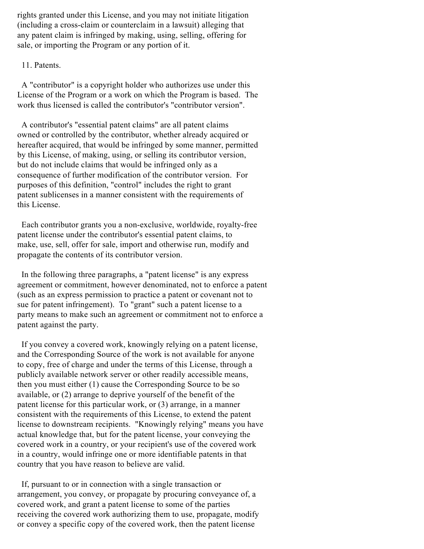rights granted under this License, and you may not initiate litigation (including a cross-claim or counterclaim in a lawsuit) alleging that any patent claim is infringed by making, using, selling, offering for sale, or importing the Program or any portion of it.

## 11. Patents.

A "contributor" is a copyright holder who authorizes use under this License of the Program or a work on which the Program is based. The work thus licensed is called the contributor's "contributor version".

A contributor's "essential patent claims" are all patent claims owned or controlled by the contributor, whether already acquired or hereafter acquired, that would be infringed by some manner, permitted by this License, of making, using, or selling its contributor version, but do not include claims that would be infringed only as a consequence of further modification of the contributor version. For purposes of this definition, "control" includes the right to grant patent sublicenses in a manner consistent with the requirements of this License.

Each contributor grants you a non-exclusive, worldwide, royalty-free patent license under the contributor's essential patent claims, to make, use, sell, offer for sale, import and otherwise run, modify and propagate the contents of its contributor version.

In the following three paragraphs, a "patent license" is any express agreement or commitment, however denominated, not to enforce a patent (such as an express permission to practice a patent or covenant not to sue for patent infringement). To "grant" such a patent license to a party means to make such an agreement or commitment not to enforce a patent against the party.

If you convey a covered work, knowingly relying on a patent license, and the Corresponding Source of the work is not available for anyone to copy, free of charge and under the terms of this License, through a publicly available network server or other readily accessible means, then you must either (1) cause the Corresponding Source to be so available, or (2) arrange to deprive yourself of the benefit of the patent license for this particular work, or (3) arrange, in a manner consistent with the requirements of this License, to extend the patent license to downstream recipients. "Knowingly relying" means you have actual knowledge that, but for the patent license, your conveying the covered work in a country, or your recipient's use of the covered work in a country, would infringe one or more identifiable patents in that country that you have reason to believe are valid.

If, pursuant to or in connection with a single transaction or arrangement, you convey, or propagate by procuring conveyance of, a covered work, and grant a patent license to some of the parties receiving the covered work authorizing them to use, propagate, modify or convey a specific copy of the covered work, then the patent license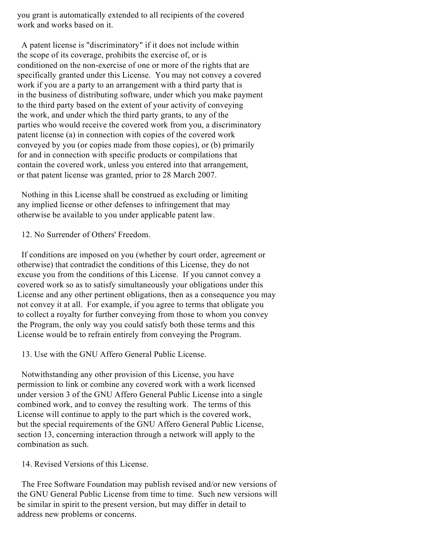you grant is automatically extended to all recipients of the covered work and works based on it.

A patent license is "discriminatory" if it does not include within the scope of its coverage, prohibits the exercise of, or is conditioned on the non-exercise of one or more of the rights that are specifically granted under this License. You may not convey a covered work if you are a party to an arrangement with a third party that is in the business of distributing software, under which you make payment to the third party based on the extent of your activity of conveying the work, and under which the third party grants, to any of the parties who would receive the covered work from you, a discriminatory patent license (a) in connection with copies of the covered work conveyed by you (or copies made from those copies), or (b) primarily for and in connection with specific products or compilations that contain the covered work, unless you entered into that arrangement, or that patent license was granted, prior to 28 March 2007.

Nothing in this License shall be construed as excluding or limiting any implied license or other defenses to infringement that may otherwise be available to you under applicable patent law.

12. No Surrender of Others' Freedom.

If conditions are imposed on you (whether by court order, agreement or otherwise) that contradict the conditions of this License, they do not excuse you from the conditions of this License. If you cannot convey a covered work so as to satisfy simultaneously your obligations under this License and any other pertinent obligations, then as a consequence you may not convey it at all. For example, if you agree to terms that obligate you to collect a royalty for further conveying from those to whom you convey the Program, the only way you could satisfy both those terms and this License would be to refrain entirely from conveying the Program.

13. Use with the GNU Affero General Public License.

Notwithstanding any other provision of this License, you have permission to link or combine any covered work with a work licensed under version 3 of the GNU Affero General Public License into a single combined work, and to convey the resulting work. The terms of this License will continue to apply to the part which is the covered work, but the special requirements of the GNU Affero General Public License, section 13, concerning interaction through a network will apply to the combination as such.

14. Revised Versions of this License.

The Free Software Foundation may publish revised and/or new versions of the GNU General Public License from time to time. Such new versions will be similar in spirit to the present version, but may differ in detail to address new problems or concerns.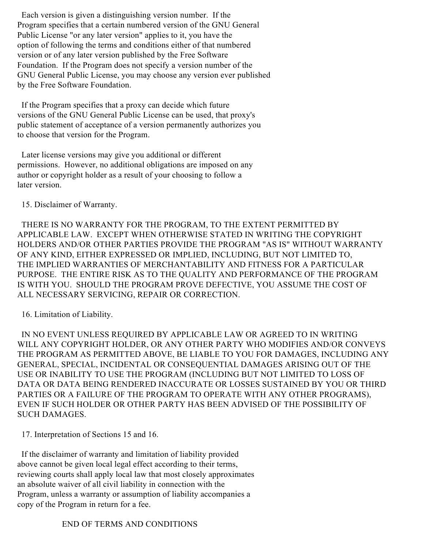Each version is given a distinguishing version number. If the Program specifies that a certain numbered version of the GNU General Public License "or any later version" applies to it, you have the option of following the terms and conditions either of that numbered version or of any later version published by the Free Software Foundation. If the Program does not specify a version number of the GNU General Public License, you may choose any version ever published by the Free Software Foundation.

If the Program specifies that a proxy can decide which future versions of the GNU General Public License can be used, that proxy's public statement of acceptance of a version permanently authorizes you to choose that version for the Program.

Later license versions may give you additional or different permissions. However, no additional obligations are imposed on any author or copyright holder as a result of your choosing to follow a later version.

15. Disclaimer of Warranty.

THERE IS NO WARRANTY FOR THE PROGRAM, TO THE EXTENT PERMITTED BY APPLICABLE LAW. EXCEPT WHEN OTHERWISE STATED IN WRITING THE COPYRIGHT HOLDERS AND/OR OTHER PARTIES PROVIDE THE PROGRAM "AS IS" WITHOUT WARRANTY OF ANY KIND, EITHER EXPRESSED OR IMPLIED, INCLUDING, BUT NOT LIMITED TO, THE IMPLIED WARRANTIES OF MERCHANTABILITY AND FITNESS FOR A PARTICULAR PURPOSE. THE ENTIRE RISK AS TO THE QUALITY AND PERFORMANCE OF THE PROGRAM IS WITH YOU. SHOULD THE PROGRAM PROVE DEFECTIVE, YOU ASSUME THE COST OF ALL NECESSARY SERVICING, REPAIR OR CORRECTION.

16. Limitation of Liability.

IN NO EVENT UNLESS REQUIRED BY APPLICABLE LAW OR AGREED TO IN WRITING WILL ANY COPYRIGHT HOLDER, OR ANY OTHER PARTY WHO MODIFIES AND/OR CONVEYS THE PROGRAM AS PERMITTED ABOVE, BE LIABLE TO YOU FOR DAMAGES, INCLUDING ANY GENERAL, SPECIAL, INCIDENTAL OR CONSEQUENTIAL DAMAGES ARISING OUT OF THE USE OR INABILITY TO USE THE PROGRAM (INCLUDING BUT NOT LIMITED TO LOSS OF DATA OR DATA BEING RENDERED INACCURATE OR LOSSES SUSTAINED BY YOU OR THIRD PARTIES OR A FAILURE OF THE PROGRAM TO OPERATE WITH ANY OTHER PROGRAMS), EVEN IF SUCH HOLDER OR OTHER PARTY HAS BEEN ADVISED OF THE POSSIBILITY OF SUCH DAMAGES.

17. Interpretation of Sections 15 and 16.

If the disclaimer of warranty and limitation of liability provided above cannot be given local legal effect according to their terms, reviewing courts shall apply local law that most closely approximates an absolute waiver of all civil liability in connection with the Program, unless a warranty or assumption of liability accompanies a copy of the Program in return for a fee.